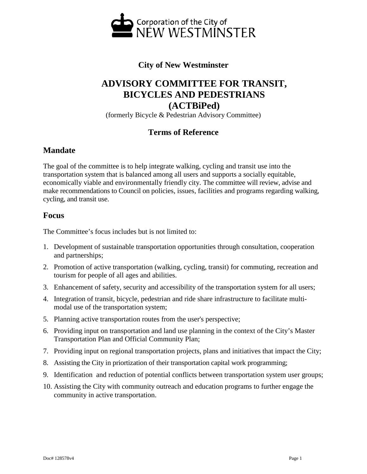

# **City of New Westminster**

# **ADVISORY COMMITTEE FOR TRANSIT, BICYCLES AND PEDESTRIANS (ACTBiPed)**

(formerly Bicycle & Pedestrian Advisory Committee)

## **Terms of Reference**

#### **Mandate**

The goal of the committee is to help integrate walking, cycling and transit use into the transportation system that is balanced among all users and supports a socially equitable, economically viable and environmentally friendly city. The committee will review, advise and make recommendations to Council on policies, issues, facilities and programs regarding walking, cycling, and transit use.

#### **Focus**

The Committee's focus includes but is not limited to:

- 1. Development of sustainable transportation opportunities through consultation, cooperation and partnerships;
- 2. Promotion of active transportation (walking, cycling, transit) for commuting, recreation and tourism for people of all ages and abilities.
- 3. Enhancement of safety, security and accessibility of the transportation system for all users;
- 4. Integration of transit, bicycle, pedestrian and ride share infrastructure to facilitate multimodal use of the transportation system;
- 5. Planning active transportation routes from the user's perspective;
- 6. Providing input on transportation and land use planning in the context of the City's Master Transportation Plan and Official Community Plan;
- 7. Providing input on regional transportation projects, plans and initiatives that impact the City;
- 8. Assisting the City in priortization of their transportation capital work programming;
- 9. Identification and reduction of potential conflicts between transportation system user groups;
- 10. Assisting the City with community outreach and education programs to further engage the community in active transportation.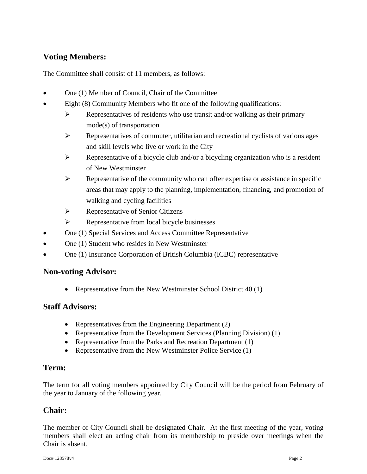# **Voting Members:**

The Committee shall consist of 11 members, as follows:

- One (1) Member of Council, Chair of the Committee
- Eight (8) Community Members who fit one of the following qualifications:
	- $\triangleright$  Representatives of residents who use transit and/or walking as their primary mode(s) of transportation
	- $\triangleright$  Representatives of commuter, utilitarian and recreational cyclists of various ages and skill levels who live or work in the City
	- $\triangleright$  Representative of a bicycle club and/or a bicycling organization who is a resident of New Westminster
	- $\triangleright$  Representative of the community who can offer expertise or assistance in specific areas that may apply to the planning, implementation, financing, and promotion of walking and cycling facilities
	- $\triangleright$  Representative of Senior Citizens
	- $\triangleright$  Representative from local bicycle businesses
- One (1) Special Services and Access Committee Representative
- One (1) Student who resides in New Westminster
- One (1) Insurance Corporation of British Columbia (ICBC) representative

#### **Non-voting Advisor:**

• Representative from the New Westminster School District 40 (1)

#### **Staff Advisors:**

- Representatives from the Engineering Department (2)
- Representative from the Development Services (Planning Division) (1)
- Representative from the Parks and Recreation Department (1)
- Representative from the New Westminster Police Service (1)

## **Term:**

The term for all voting members appointed by City Council will be the period from February of the year to January of the following year.

#### **Chair:**

The member of City Council shall be designated Chair. At the first meeting of the year, voting members shall elect an acting chair from its membership to preside over meetings when the Chair is absent.